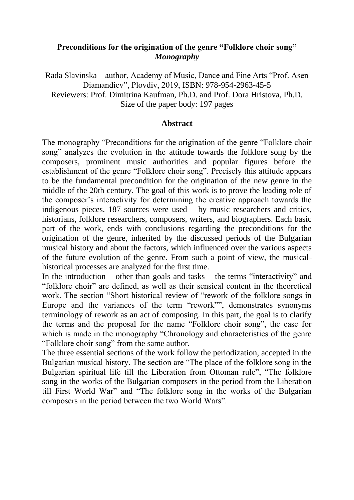# **Preconditions for the origination of the genre "Folklore choir song"** *Monography*

Rada Slavinska – author, Academy of Music, Dance and Fine Arts "Prof. Asen Diamandiev", Plovdiv, 2019, ISBN: 978-954-2963-45-5 Reviewers: Prof. Dimitrina Kaufman, Ph.D. and Prof. Dora Hristova, Ph.D. Size of the paper body: 197 pages

### **Abstract**

The monography "Preconditions for the origination of the genre "Folklore choir song" analyzes the evolution in the attitude towards the folklore song by the composers, prominent music authorities and popular figures before the establishment of the genre "Folklore choir song". Precisely this attitude appears to be the fundamental precondition for the origination of the new genre in the middle of the 20th century. The goal of this work is to prove the leading role of the composer's interactivity for determining the creative approach towards the indigenous pieces. 187 sources were used – by music researchers and critics, historians, folklore researchers, composers, writers, and biographers. Each basic part of the work, ends with conclusions regarding the preconditions for the origination of the genre, inherited by the discussed periods of the Bulgarian musical history and about the factors, which influenced over the various aspects of the future evolution of the genre. From such a point of view, the musicalhistorical processes are analyzed for the first time.

In the introduction – other than goals and tasks – the terms "interactivity" and "folklore choir" are defined, as well as their sensical content in the theoretical work. The section "Short historical review of "rework of the folklore songs in Europe and the variances of the term "rework"", demonstrates synonyms terminology of rework as an act of composing. In this part, the goal is to clarify the terms and the proposal for the name "Folklore choir song", the case for which is made in the monography "Chronology and characteristics of the genre "Folklore choir song" from the same author.

The three essential sections of the work follow the periodization, accepted in the Bulgarian musical history. The section are "The place of the folklore song in the Bulgarian spiritual life till the Liberation from Ottoman rule", "The folklore song in the works of the Bulgarian composers in the period from the Liberation till First World War" and "The folklore song in the works of the Bulgarian composers in the period between the two World Wars".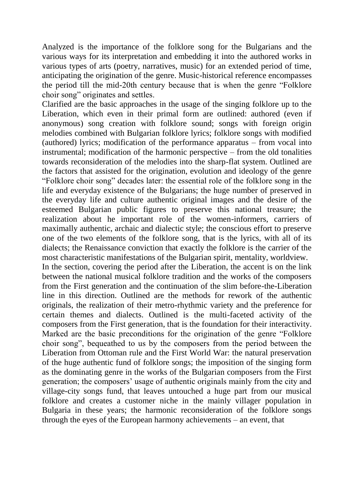Analyzed is the importance of the folklore song for the Bulgarians and the various ways for its interpretation and embedding it into the authored works in various types of arts (poetry, narratives, music) for an extended period of time, anticipating the origination of the genre. Music-historical reference encompasses the period till the mid-20th century because that is when the genre "Folklore choir song" originates and settles.

Clarified are the basic approaches in the usage of the singing folklore up to the Liberation, which even in their primal form are outlined: authored (even if anonymous) song creation with folklore sound; songs with foreign origin melodies combined with Bulgarian folklore lyrics; folklore songs with modified (authored) lyrics; modification of the performance apparatus – from vocal into instrumental; modification of the harmonic perspective – from the old tonalities towards reconsideration of the melodies into the sharp-flat system. Outlined are the factors that assisted for the origination, evolution and ideology of the genre "Folklore choir song" decades later: the essential role of the folklore song in the life and everyday existence of the Bulgarians; the huge number of preserved in the everyday life and culture authentic original images and the desire of the esteemed Bulgarian public figures to preserve this national treasure; the realization about he important role of the women-informers, carriers of maximally authentic, archaic and dialectic style; the conscious effort to preserve one of the two elements of the folklore song, that is the lyrics, with all of its dialects; the Renaissance conviction that exactly the folklore is the carrier of the most characteristic manifestations of the Bulgarian spirit, mentality, worldview.

In the section, covering the period after the Liberation, the accent is on the link between the national musical folklore tradition and the works of the composers from the First generation and the continuation of the slim before-the-Liberation line in this direction. Outlined are the methods for rework of the authentic originals, the realization of their metro-rhythmic variety and the preference for certain themes and dialects. Outlined is the multi-faceted activity of the composers from the First generation, that is the foundation for their interactivity. Marked are the basic preconditions for the origination of the genre "Folklore choir song", bequeathed to us by the composers from the period between the Liberation from Ottoman rule and the First World War: the natural preservation of the huge authentic fund of folklore songs; the imposition of the singing form as the dominating genre in the works of the Bulgarian composers from the First generation; the composers' usage of authentic originals mainly from the city and village-city songs fund, that leaves untouched a huge part from our musical folklore and creates a customer niche in the mainly villager population in Bulgaria in these years; the harmonic reconsideration of the folklore songs through the eyes of the European harmony achievements – an event, that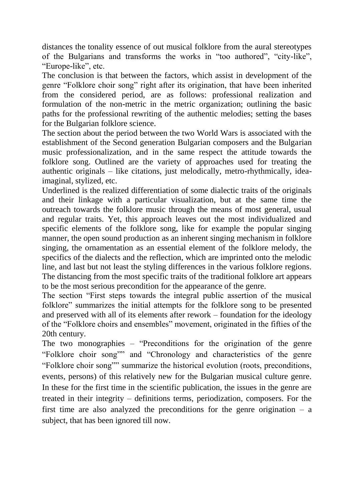distances the tonality essence of out musical folklore from the aural stereotypes of the Bulgarians and transforms the works in "too authored", "city-like", "Europe-like", etc.

The conclusion is that between the factors, which assist in development of the genre "Folklore choir song" right after its origination, that have been inherited from the considered period, are as follows: professional realization and formulation of the non-metric in the metric organization; outlining the basic paths for the professional rewriting of the authentic melodies; setting the bases for the Bulgarian folklore science.

The section about the period between the two World Wars is associated with the establishment of the Second generation Bulgarian composers and the Bulgarian music professionalization, and in the same respect the attitude towards the folklore song. Outlined are the variety of approaches used for treating the authentic originals – like citations, just melodically, metro-rhythmically, ideaimaginal, stylized, etc.

Underlined is the realized differentiation of some dialectic traits of the originals and their linkage with a particular visualization, but at the same time the outreach towards the folklore music through the means of most general, usual and regular traits. Yet, this approach leaves out the most individualized and specific elements of the folklore song, like for example the popular singing manner, the open sound production as an inherent singing mechanism in folklore singing, the ornamentation as an essential element of the folklore melody, the specifics of the dialects and the reflection, which are imprinted onto the melodic line, and last but not least the styling differences in the various folklore regions. The distancing from the most specific traits of the traditional folklore art appears to be the most serious precondition for the appearance of the genre.

The section "First steps towards the integral public assertion of the musical folklore" summarizes the initial attempts for the folklore song to be presented and preserved with all of its elements after rework – foundation for the ideology of the "Folklore choirs and ensembles" movement, originated in the fifties of the 20th century.

The two monographies – "Preconditions for the origination of the genre "Folklore choir song"" and "Chronology and characteristics of the genre "Folklore choir song"" summarize the historical evolution (roots, preconditions, events, persons) of this relatively new for the Bulgarian musical culture genre. In these for the first time in the scientific publication, the issues in the genre are treated in their integrity – definitions terms, periodization, composers. For the first time are also analyzed the preconditions for the genre origination  $-$  a subject, that has been ignored till now.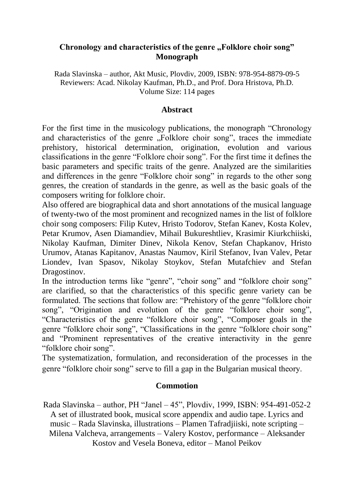### **Chronology and characteristics of the genre "Folklore choir song" Monograph**

Rada Slavinska – author, Akt Music, Plovdiv, 2009, ISBN: 978-954-8879-09-5 Reviewers: Acad. Nikolay Kaufman, Ph.D., and Prof. Dora Hristova, Ph.D. Volume Size: 114 pages

### **Abstract**

For the first time in the musicology publications, the monograph "Chronology and characteristics of the genre "Folklore choir song", traces the immediate prehistory, historical determination, origination, evolution and various classifications in the genre "Folklore choir song". For the first time it defines the basic parameters and specific traits of the genre. Analyzed are the similarities and differences in the genre "Folklore choir song" in regards to the other song genres, the creation of standards in the genre, as well as the basic goals of the composers writing for folklore choir.

Also offered are biographical data and short annotations of the musical language of twenty-two of the most prominent and recognized names in the list of folklore choir song composers: Filip Kutev, Hristo Todorov, Stefan Kanev, Kosta Kolev, Petar Krumov, Asen Diamandiev, Mihail Bukureshtliev, Krasimir Kiurkchiiski, Nikolay Kaufman, Dimiter Dinev, Nikola Kenov, Stefan Chapkanov, Hristo Urumov, Atanas Kapitanov, Anastas Naumov, Kiril Stefanov, Ivan Valev, Petar Liondev, Ivan Spasov, Nikolay Stoykov, Stefan Mutafchiev and Stefan Dragostinov.

In the introduction terms like "genre", "choir song" and "folklore choir song" are clarified, so that the characteristics of this specific genre variety can be formulated. The sections that follow are: "Prehistory of the genre "folklore choir song", "Origination and evolution of the genre "folklore choir song", "Characteristics of the genre "folklore choir song", "Composer goals in the genre "folklore choir song", "Classifications in the genre "folklore choir song" and "Prominent representatives of the creative interactivity in the genre "folklore choir song".

The systematization, formulation, and reconsideration of the processes in the genre "folklore choir song" serve to fill a gap in the Bulgarian musical theory.

## **Commotion**

Rada Slavinska – author, PH "Janel – 45", Plovdiv, 1999, ISBN: 954-491-052-2 A set of illustrated book, musical score appendix and audio tape. Lyrics and music – Rada Slavinska, illustrations – Plamen Tafradjiiski, note scripting – Milena Valcheva, arrangements – Valery Kostov, performance – Aleksander Kostov and Vesela Boneva, editor – Manol Peikov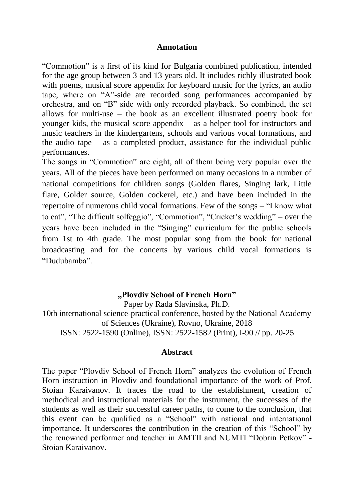#### **Annotation**

"Commotion" is a first of its kind for Bulgaria combined publication, intended for the age group between 3 and 13 years old. It includes richly illustrated book with poems, musical score appendix for keyboard music for the lyrics, an audio tape, where on "A"-side are recorded song performances accompanied by orchestra, and on "B" side with only recorded playback. So combined, the set allows for multi-use – the book as an excellent illustrated poetry book for younger kids, the musical score appendix – as a helper tool for instructors and music teachers in the kindergartens, schools and various vocal formations, and the audio tape – as a completed product, assistance for the individual public performances.

The songs in "Commotion" are eight, all of them being very popular over the years. All of the pieces have been performed on many occasions in a number of national competitions for children songs (Golden flares, Singing lark, Little flare, Golder source, Golden cockerel, etc.) and have been included in the repertoire of numerous child vocal formations. Few of the songs – "I know what to eat", "The difficult solfeggio", "Commotion", "Cricket's wedding" – over the years have been included in the "Singing" curriculum for the public schools from 1st to 4th grade. The most popular song from the book for national broadcasting and for the concerts by various child vocal formations is "Dudubamba".

### **"Plovdiv School of French Horn"**

Paper by Rada Slavinska, Ph.D. 10th international science-practical conference, hosted by the National Academy of Sciences (Ukraine), Rovno, Ukraine, 2018 ISSN: 2522-1590 (Online), ISSN: 2522-1582 (Print), I-90 // pp. 20-25

#### **Abstract**

The paper "Plovdiv School of French Horn" analyzes the evolution of French Horn instruction in Plovdiv and foundational importance of the work of Prof. Stoian Karaivanov. It traces the road to the establishment, creation of methodical and instructional materials for the instrument, the successes of the students as well as their successful career paths, to come to the conclusion, that this event can be qualified as a "School" with national and international importance. It underscores the contribution in the creation of this "School" by the renowned performer and teacher in AMTII and NUMTI "Dobrin Petkov" - Stoian Karaivanov.